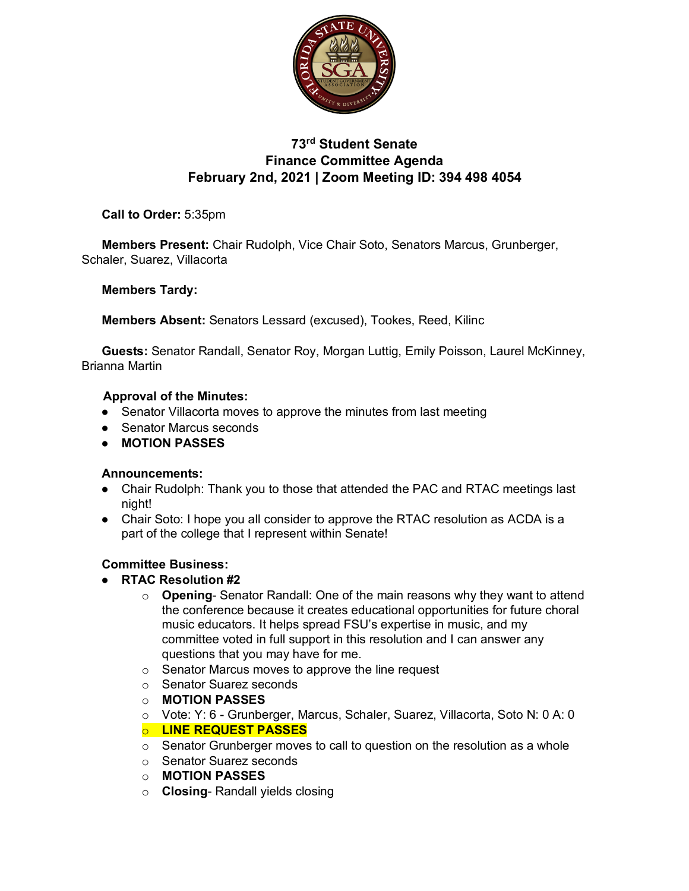

# **73rd Student Senate Finance Committee Agenda February 2nd, 2021 | Zoom Meeting ID: 394 498 4054**

**Call to Order:** 5:35pm

**Members Present:** Chair Rudolph, Vice Chair Soto, Senators Marcus, Grunberger, Schaler, Suarez, Villacorta

### **Members Tardy:**

**Members Absent:** Senators Lessard (excused), Tookes, Reed, Kilinc

**Guests:** Senator Randall, Senator Roy, Morgan Luttig, Emily Poisson, Laurel McKinney, Brianna Martin

### **Approval of the Minutes:**

- Senator Villacorta moves to approve the minutes from last meeting
- Senator Marcus seconds
- **MOTION PASSES**

#### **Announcements:**

- Chair Rudolph: Thank you to those that attended the PAC and RTAC meetings last night!
- Chair Soto: I hope you all consider to approve the RTAC resolution as ACDA is a part of the college that I represent within Senate!

## **Committee Business:**

- **RTAC Resolution #2**
	- o **Opening** Senator Randall: One of the main reasons why they want to attend the conference because it creates educational opportunities for future choral music educators. It helps spread FSU's expertise in music, and my committee voted in full support in this resolution and I can answer any questions that you may have for me.
	- o Senator Marcus moves to approve the line request
	- o Senator Suarez seconds
	- o **MOTION PASSES**
	- o Vote: Y: 6 Grunberger, Marcus, Schaler, Suarez, Villacorta, Soto N: 0 A: 0

#### o **LINE REQUEST PASSES**

- $\circ$  Senator Grunberger moves to call to question on the resolution as a whole
- o Senator Suarez seconds
- o **MOTION PASSES**
- o **Closing** Randall yields closing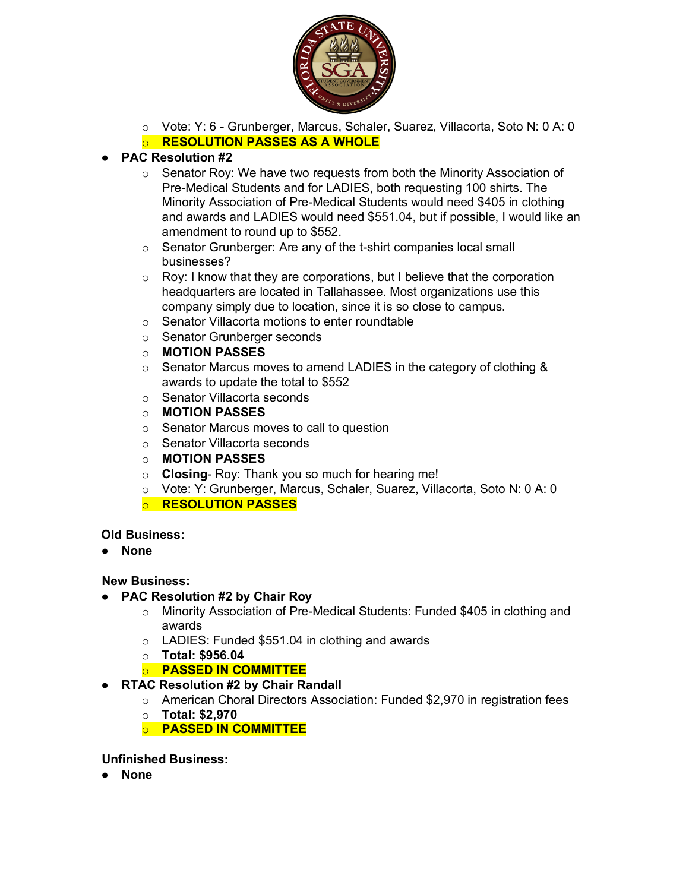

- o Vote: Y: 6 Grunberger, Marcus, Schaler, Suarez, Villacorta, Soto N: 0 A: 0
- o **RESOLUTION PASSES AS A WHOLE**

# ● **PAC Resolution #2**

- o Senator Roy: We have two requests from both the Minority Association of Pre-Medical Students and for LADIES, both requesting 100 shirts. The Minority Association of Pre-Medical Students would need \$405 in clothing and awards and LADIES would need \$551.04, but if possible, I would like an amendment to round up to \$552.
- o Senator Grunberger: Are any of the t-shirt companies local small businesses?
- o Roy: I know that they are corporations, but I believe that the corporation headquarters are located in Tallahassee. Most organizations use this company simply due to location, since it is so close to campus.
- o Senator Villacorta motions to enter roundtable
- o Senator Grunberger seconds
- o **MOTION PASSES**
- o Senator Marcus moves to amend LADIES in the category of clothing & awards to update the total to \$552
- o Senator Villacorta seconds
- o **MOTION PASSES**
- o Senator Marcus moves to call to question
- o Senator Villacorta seconds
- o **MOTION PASSES**
- o **Closing** Roy: Thank you so much for hearing me!
- o Vote: Y: Grunberger, Marcus, Schaler, Suarez, Villacorta, Soto N: 0 A: 0
- o **RESOLUTION PASSES**

## **Old Business:**

● **None**

#### **New Business:**

- **PAC Resolution #2 by Chair Roy**
	- $\circ$  Minority Association of Pre-Medical Students: Funded \$405 in clothing and awards
	- o LADIES: Funded \$551.04 in clothing and awards
	- o **Total: \$956.04**
	- o **PASSED IN COMMITTEE**
- **RTAC Resolution #2 by Chair Randall**
	- o American Choral Directors Association: Funded \$2,970 in registration fees
		- o **Total: \$2,970**
		- o **PASSED IN COMMITTEE**

#### **Unfinished Business:**

● **None**